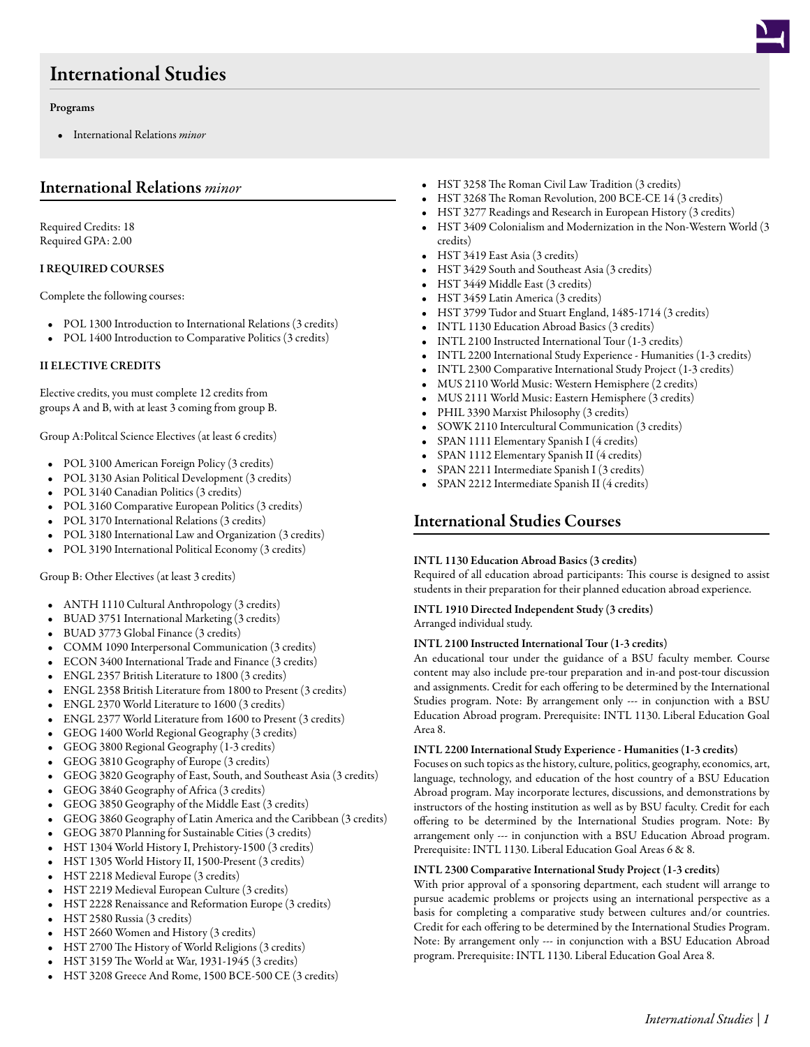# International Studies

#### Programs

• International Relations *minor*

### International Relations *minor*

Required Credits: 18 Required GPA: 2.00

#### I REQUIRED COURSES

Complete the following courses:

- POL 1300 [Introduction to International Relations](/academics/catalog/20233/courses/pol/1300) (3 credits)
- POL 1400 [Introduction to Comparative Politics](/academics/catalog/20233/courses/pol/1400) (3 credits)

#### II ELECTIVE CREDITS

Elective credits, you must complete 12 credits from groups A and B, with at least 3 coming from group B.

Group A:Politcal Science Electives (at least 6 credits)

- POL 3100 [American Foreign Policy](/academics/catalog/20233/courses/pol/3100) (3 credits)
- POL 3130 [Asian Political Development](/academics/catalog/20233/courses/pol/3130) (3 credits)
- POL 3140 [Canadian Politics](/academics/catalog/20233/courses/pol/3140) (3 credits)
- POL 3160 [Comparative European Politics](/academics/catalog/20233/courses/pol/3160) (3 credits)
- POL 3170 [International Relations](/academics/catalog/20233/courses/pol/3170) (3 credits)
- POL 3180 [International Law and Organization](/academics/catalog/20233/courses/pol/3180) (3 credits)
- POL 3190 [International Political Economy](/academics/catalog/20233/courses/pol/3190) (3 credits)

Group B: Other Electives (at least 3 credits)

- ANTH 1110 [Cultural Anthropology](/academics/catalog/20233/courses/anth/1110) (3 credits)
- BUAD 3751 [International Marketing](/academics/catalog/20233/courses/buad/3751) (3 credits)
- BUAD 3773 [Global Finance](/academics/catalog/20233/courses/buad/3773) (3 credits)
- COMM 1090 [Interpersonal Communication](/academics/catalog/20233/courses/comm/1090) (3 credits)
- ECON 3400 [International Trade and Finance](/academics/catalog/20233/courses/econ/3400) (3 credits)
- ENGL 2357 [British Literature to 1800](/academics/catalog/20233/courses/engl/2357) (3 credits)
- ENGL 2358 [British Literature from 1800 to Present](/academics/catalog/20233/courses/engl/2358) (3 credits)
- ENGL 2370 [World Literature to 1600](/academics/catalog/20233/courses/engl/2370) (3 credits)
- ENGL 2377 [World Literature from 1600 to Present](/academics/catalog/20233/courses/engl/2377) (3 credits)
- GEOG 1400 [World Regional Geography](/academics/catalog/20233/courses/geog/1400) (3 credits)
- GEOG 3800 [Regional Geography](/academics/catalog/20233/courses/geog/3800) (1-3 credits)
- GEOG 3810 [Geography of Europe](/academics/catalog/20233/courses/geog/3810) (3 credits)
- GEOG 3820 [Geography of East, South, and Southeast Asia](/academics/catalog/20233/courses/geog/3820) (3 credits)
- GEOG 3840 [Geography of Africa](/academics/catalog/20233/courses/geog/3840) (3 credits)
- GEOG 3850 [Geography of the Middle East](/academics/catalog/20233/courses/geog/3850) (3 credits)
- GEOG 3860 [Geography of Latin America and the Caribbean](/academics/catalog/20233/courses/geog/3860) (3 credits)
- GEOG 3870 [Planning for Sustainable Cities](/academics/catalog/20233/courses/geog/3870) (3 credits)
- HST 1304 [World History I, Prehistory-1500](/academics/catalog/20233/courses/hst/1304) (3 credits)
- HST 1305 [World History II, 1500-Present](/academics/catalog/20233/courses/hst/1305) (3 credits)
- HST 2218 [Medieval Europe](/academics/catalog/20233/courses/hst/2218) (3 credits)
- HST 2219 [Medieval European Culture](/academics/catalog/20233/courses/hst/2219) (3 credits)
- HST 2228 [Renaissance and Reformation Europe](/academics/catalog/20233/courses/hst/2228) (3 credits)
- HST 2580 [Russia](/academics/catalog/20233/courses/hst/2580) (3 credits)
- HST 2660 [Women and History](/academics/catalog/20233/courses/hst/2660) (3 credits)
- HST 2700 [The History of World Religions](/academics/catalog/20233/courses/hst/2700) (3 credits)
- HST 3159 [The World at War, 1931-1945](/academics/catalog/20233/courses/hst/3159) (3 credits)
- HST 3208 [Greece And Rome, 1500 BCE-500 CE](/academics/catalog/20233/courses/hst/3208) (3 credits)
- HST 3258 [The Roman Civil Law Tradition](/academics/catalog/20233/courses/hst/3258) (3 credits)
- HST 3268 [The Roman Revolution, 200 BCE-CE 14](/academics/catalog/20233/courses/hst/3268) (3 credits)
- HST 3277 [Readings and Research in European History](/academics/catalog/20233/courses/hst/3277) (3 credits)
- HST 3409 [Colonialism and Modernization in the Non-Western World](/academics/catalog/20233/courses/hst/3409) (3 credits)
- HST 3419 [East Asia](/academics/catalog/20233/courses/hst/3419) (3 credits)
- HST 3429 [South and Southeast Asia](/academics/catalog/20233/courses/hst/3429) (3 credits)
- HST 3449 [Middle East](/academics/catalog/20233/courses/hst/3449) (3 credits)
- HST 3459 [Latin America](/academics/catalog/20233/courses/hst/3459) (3 credits)
- HST 3799 [Tudor and Stuart England, 1485-1714](/academics/catalog/20233/courses/hst/3799) (3 credits)
- INTL 1130 [Education Abroad Basics](/academics/catalog/20233/courses/intl/1130) (3 credits)
- INTL 2100 [Instructed International Tour](/academics/catalog/20233/courses/intl/2100) (1-3 credits)
- INTL 2200 [International Study Experience Humanities](/academics/catalog/20233/courses/intl/2200) (1-3 credits)
- INTL 2300 [Comparative International Study Project](/academics/catalog/20233/courses/intl/2300) (1-3 credits)
- MUS 2110 [World Music: Western Hemisphere](/academics/catalog/20233/courses/mus/2110) (2 credits)
- MUS 2111 [World Music: Eastern Hemisphere](/academics/catalog/20233/courses/mus/2111) (3 credits)
- PHIL 3390 [Marxist Philosophy](/academics/catalog/20233/courses/phil/3390) (3 credits)
- SOWK 2110 [Intercultural Communication](/academics/catalog/20233/courses/sowk/2110) (3 credits)
- SPAN 1111 [Elementary Spanish I](/academics/catalog/20233/courses/span/1111) (4 credits)
- SPAN 1112 [Elementary Spanish II](/academics/catalog/20233/courses/span/1112) (4 credits)
- SPAN 2211 [Intermediate Spanish I](/academics/catalog/20233/courses/span/2211) (3 credits)
- SPAN 2212 [Intermediate Spanish II](/academics/catalog/20233/courses/span/2212) (4 credits)

## International Studies Courses

### INTL 1130 Education Abroad Basics (3 credits)

Required of all education abroad participants: This course is designed to assist students in their preparation for their planned education abroad experience.

### INTL 1910 Directed Independent Study (3 credits)

Arranged individual study.

### INTL 2100 Instructed International Tour (1-3 credits)

An educational tour under the guidance of a BSU faculty member. Course content may also include pre-tour preparation and in-and post-tour discussion and assignments. Credit for each offering to be determined by the International Studies program. Note: By arrangement only --- in conjunction with a BSU Education Abroad program. Prerequisite: INTL 1130. Liberal Education Goal Area 8.

### INTL 2200 International Study Experience - Humanities (1-3 credits)

Focuses on such topics as the history, culture, politics, geography, economics, art, language, technology, and education of the host country of a BSU Education Abroad program. May incorporate lectures, discussions, and demonstrations by instructors of the hosting institution as well as by BSU faculty. Credit for each offering to be determined by the International Studies program. Note: By arrangement only --- in conjunction with a BSU Education Abroad program. Prerequisite: INTL 1130. Liberal Education Goal Areas 6 & 8.

### INTL 2300 Comparative International Study Project (1-3 credits)

With prior approval of a sponsoring department, each student will arrange to pursue academic problems or projects using an international perspective as a basis for completing a comparative study between cultures and/or countries. Credit for each offering to be determined by the International Studies Program. Note: By arrangement only --- in conjunction with a BSU Education Abroad program. Prerequisite: INTL 1130. Liberal Education Goal Area 8.